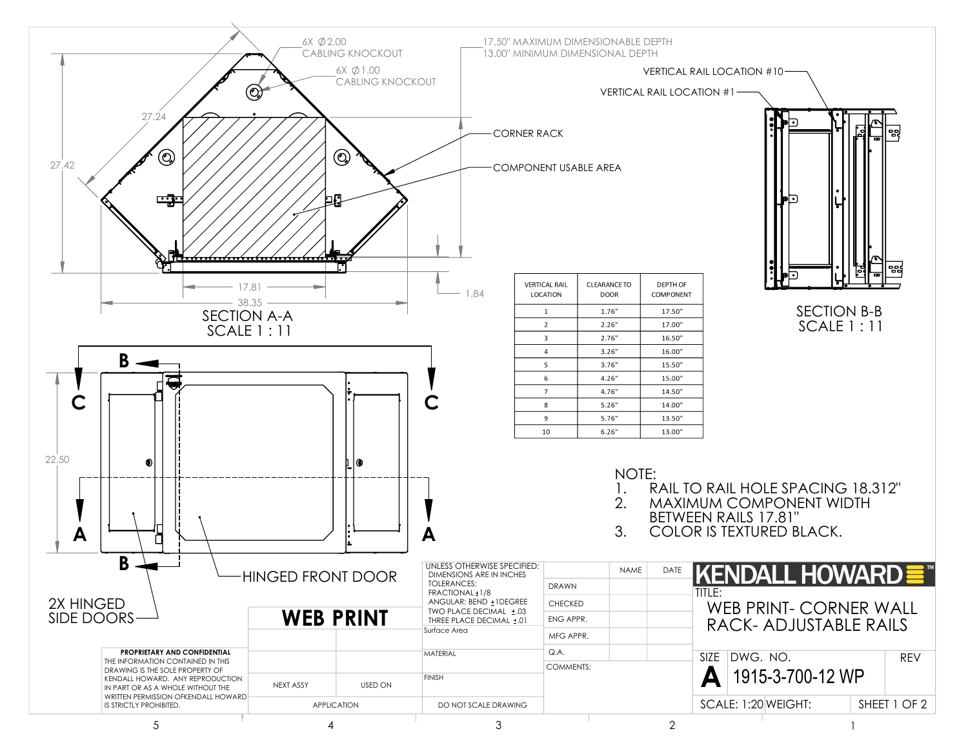